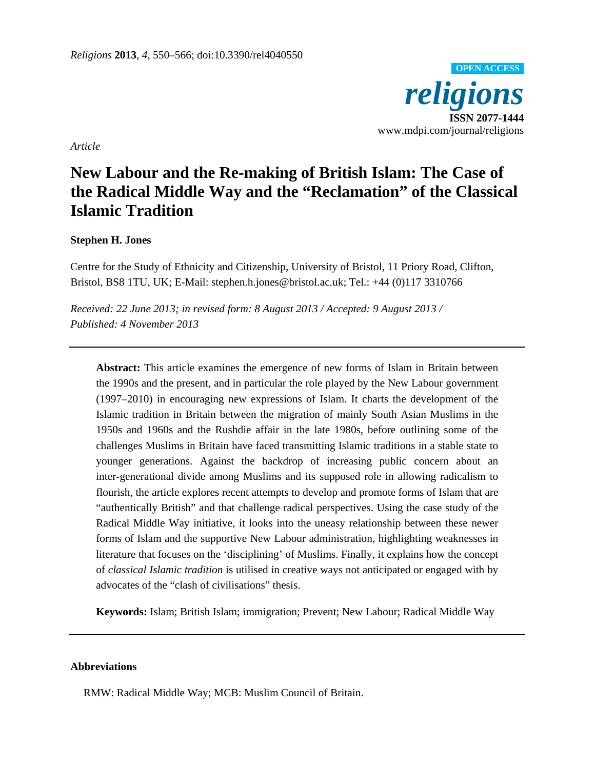

*Article* 

# **New Labour and the Re-making of British Islam: The Case of the Radical Middle Way and the "Reclamation" of the Classical Islamic Tradition**

# **Stephen H. Jones**

Centre for the Study of Ethnicity and Citizenship, University of Bristol, 11 Priory Road, Clifton, Bristol, BS8 1TU, UK; E-Mail: stephen.h.jones@bristol.ac.uk; Tel.: +44 (0)117 3310766

*Received: 22 June 2013; in revised form: 8 August 2013 / Accepted: 9 August 2013 / Published: 4 November 2013* 

**Abstract:** This article examines the emergence of new forms of Islam in Britain between the 1990s and the present, and in particular the role played by the New Labour government (1997–2010) in encouraging new expressions of Islam. It charts the development of the Islamic tradition in Britain between the migration of mainly South Asian Muslims in the 1950s and 1960s and the Rushdie affair in the late 1980s, before outlining some of the challenges Muslims in Britain have faced transmitting Islamic traditions in a stable state to younger generations. Against the backdrop of increasing public concern about an inter-generational divide among Muslims and its supposed role in allowing radicalism to flourish, the article explores recent attempts to develop and promote forms of Islam that are "authentically British" and that challenge radical perspectives. Using the case study of the Radical Middle Way initiative, it looks into the uneasy relationship between these newer forms of Islam and the supportive New Labour administration, highlighting weaknesses in literature that focuses on the 'disciplining' of Muslims. Finally, it explains how the concept of *classical Islamic tradition* is utilised in creative ways not anticipated or engaged with by advocates of the "clash of civilisations" thesis.

**Keywords:** Islam; British Islam; immigration; Prevent; New Labour; Radical Middle Way

# **Abbreviations**

RMW: Radical Middle Way; MCB: Muslim Council of Britain.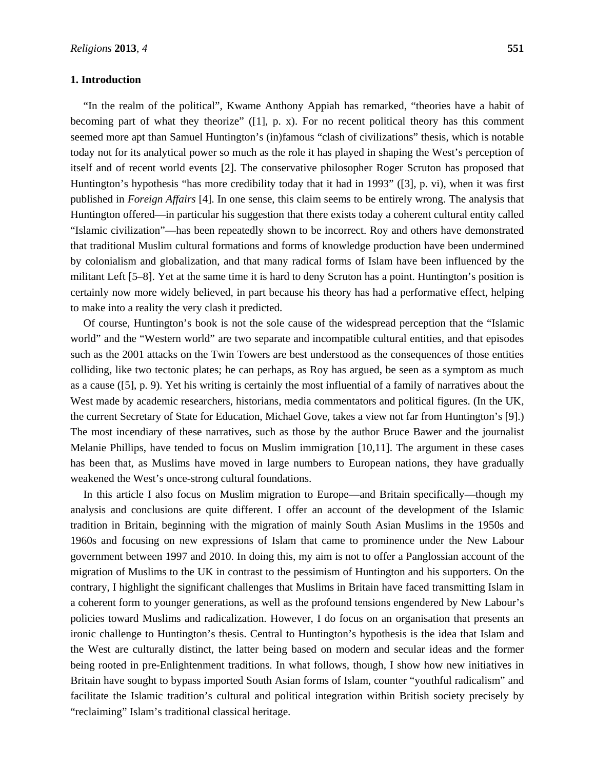## **1. Introduction**

"In the realm of the political", Kwame Anthony Appiah has remarked, "theories have a habit of becoming part of what they theorize" ([1], p. x). For no recent political theory has this comment seemed more apt than Samuel Huntington's (in)famous "clash of civilizations" thesis, which is notable today not for its analytical power so much as the role it has played in shaping the West's perception of itself and of recent world events [2]. The conservative philosopher Roger Scruton has proposed that Huntington's hypothesis "has more credibility today that it had in 1993" ([3], p. vi), when it was first published in *Foreign Affairs* [4]. In one sense, this claim seems to be entirely wrong. The analysis that Huntington offered—in particular his suggestion that there exists today a coherent cultural entity called "Islamic civilization"—has been repeatedly shown to be incorrect. Roy and others have demonstrated that traditional Muslim cultural formations and forms of knowledge production have been undermined by colonialism and globalization, and that many radical forms of Islam have been influenced by the militant Left [5–8]. Yet at the same time it is hard to deny Scruton has a point. Huntington's position is certainly now more widely believed, in part because his theory has had a performative effect, helping to make into a reality the very clash it predicted.

Of course, Huntington's book is not the sole cause of the widespread perception that the "Islamic world" and the "Western world" are two separate and incompatible cultural entities, and that episodes such as the 2001 attacks on the Twin Towers are best understood as the consequences of those entities colliding, like two tectonic plates; he can perhaps, as Roy has argued, be seen as a symptom as much as a cause ([5], p. 9). Yet his writing is certainly the most influential of a family of narratives about the West made by academic researchers, historians, media commentators and political figures. (In the UK, the current Secretary of State for Education, Michael Gove, takes a view not far from Huntington's [9].) The most incendiary of these narratives, such as those by the author Bruce Bawer and the journalist Melanie Phillips, have tended to focus on Muslim immigration [10,11]. The argument in these cases has been that, as Muslims have moved in large numbers to European nations, they have gradually weakened the West's once-strong cultural foundations.

In this article I also focus on Muslim migration to Europe—and Britain specifically—though my analysis and conclusions are quite different. I offer an account of the development of the Islamic tradition in Britain, beginning with the migration of mainly South Asian Muslims in the 1950s and 1960s and focusing on new expressions of Islam that came to prominence under the New Labour government between 1997 and 2010. In doing this, my aim is not to offer a Panglossian account of the migration of Muslims to the UK in contrast to the pessimism of Huntington and his supporters. On the contrary, I highlight the significant challenges that Muslims in Britain have faced transmitting Islam in a coherent form to younger generations, as well as the profound tensions engendered by New Labour's policies toward Muslims and radicalization. However, I do focus on an organisation that presents an ironic challenge to Huntington's thesis. Central to Huntington's hypothesis is the idea that Islam and the West are culturally distinct, the latter being based on modern and secular ideas and the former being rooted in pre-Enlightenment traditions. In what follows, though, I show how new initiatives in Britain have sought to bypass imported South Asian forms of Islam, counter "youthful radicalism" and facilitate the Islamic tradition's cultural and political integration within British society precisely by "reclaiming" Islam's traditional classical heritage.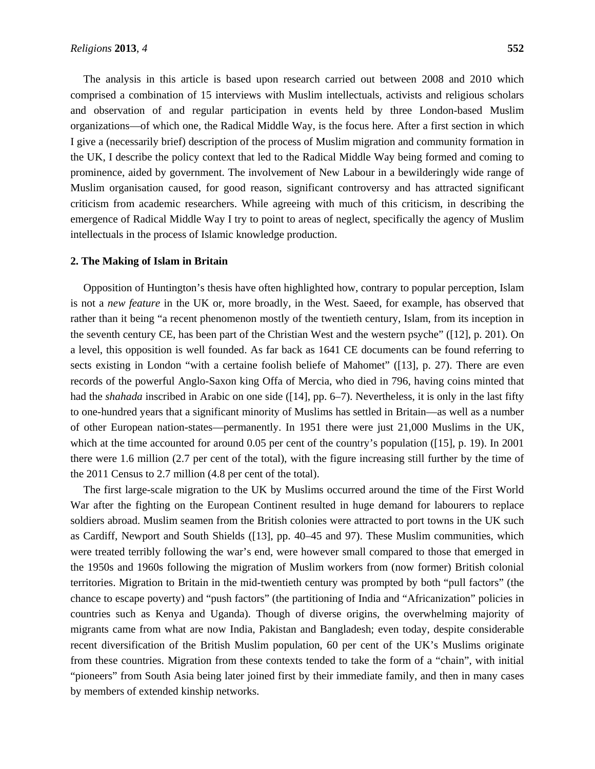The analysis in this article is based upon research carried out between 2008 and 2010 which comprised a combination of 15 interviews with Muslim intellectuals, activists and religious scholars and observation of and regular participation in events held by three London-based Muslim organizations—of which one, the Radical Middle Way, is the focus here. After a first section in which I give a (necessarily brief) description of the process of Muslim migration and community formation in the UK, I describe the policy context that led to the Radical Middle Way being formed and coming to prominence, aided by government. The involvement of New Labour in a bewilderingly wide range of Muslim organisation caused, for good reason, significant controversy and has attracted significant criticism from academic researchers. While agreeing with much of this criticism, in describing the emergence of Radical Middle Way I try to point to areas of neglect, specifically the agency of Muslim intellectuals in the process of Islamic knowledge production.

## **2. The Making of Islam in Britain**

Opposition of Huntington's thesis have often highlighted how, contrary to popular perception, Islam is not a *new feature* in the UK or, more broadly, in the West. Saeed, for example, has observed that rather than it being "a recent phenomenon mostly of the twentieth century, Islam, from its inception in the seventh century CE, has been part of the Christian West and the western psyche" ([12], p. 201). On a level, this opposition is well founded. As far back as 1641 CE documents can be found referring to sects existing in London "with a certaine foolish beliefe of Mahomet" ([13], p. 27). There are even records of the powerful Anglo-Saxon king Offa of Mercia, who died in 796, having coins minted that had the *shahada* inscribed in Arabic on one side ([14], pp. 6–7). Nevertheless, it is only in the last fifty to one-hundred years that a significant minority of Muslims has settled in Britain—as well as a number of other European nation-states—permanently. In 1951 there were just 21,000 Muslims in the UK, which at the time accounted for around 0.05 per cent of the country's population ([15], p. 19). In 2001 there were 1.6 million (2.7 per cent of the total), with the figure increasing still further by the time of the 2011 Census to 2.7 million (4.8 per cent of the total).

The first large-scale migration to the UK by Muslims occurred around the time of the First World War after the fighting on the European Continent resulted in huge demand for labourers to replace soldiers abroad. Muslim seamen from the British colonies were attracted to port towns in the UK such as Cardiff, Newport and South Shields ([13], pp. 40–45 and 97). These Muslim communities, which were treated terribly following the war's end, were however small compared to those that emerged in the 1950s and 1960s following the migration of Muslim workers from (now former) British colonial territories. Migration to Britain in the mid-twentieth century was prompted by both "pull factors" (the chance to escape poverty) and "push factors" (the partitioning of India and "Africanization" policies in countries such as Kenya and Uganda). Though of diverse origins, the overwhelming majority of migrants came from what are now India, Pakistan and Bangladesh; even today, despite considerable recent diversification of the British Muslim population, 60 per cent of the UK's Muslims originate from these countries. Migration from these contexts tended to take the form of a "chain", with initial "pioneers" from South Asia being later joined first by their immediate family, and then in many cases by members of extended kinship networks.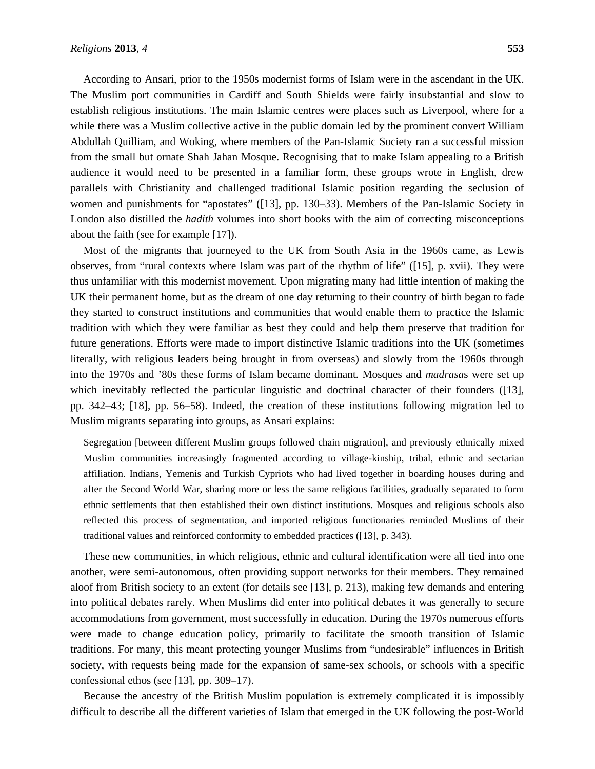According to Ansari, prior to the 1950s modernist forms of Islam were in the ascendant in the UK. The Muslim port communities in Cardiff and South Shields were fairly insubstantial and slow to establish religious institutions. The main Islamic centres were places such as Liverpool, where for a while there was a Muslim collective active in the public domain led by the prominent convert William Abdullah Quilliam, and Woking, where members of the Pan-Islamic Society ran a successful mission from the small but ornate Shah Jahan Mosque. Recognising that to make Islam appealing to a British audience it would need to be presented in a familiar form, these groups wrote in English, drew parallels with Christianity and challenged traditional Islamic position regarding the seclusion of women and punishments for "apostates" ([13], pp. 130–33). Members of the Pan-Islamic Society in London also distilled the *hadith* volumes into short books with the aim of correcting misconceptions about the faith (see for example [17]).

Most of the migrants that journeyed to the UK from South Asia in the 1960s came, as Lewis observes, from "rural contexts where Islam was part of the rhythm of life" ([15], p. xvii). They were thus unfamiliar with this modernist movement. Upon migrating many had little intention of making the UK their permanent home, but as the dream of one day returning to their country of birth began to fade they started to construct institutions and communities that would enable them to practice the Islamic tradition with which they were familiar as best they could and help them preserve that tradition for future generations. Efforts were made to import distinctive Islamic traditions into the UK (sometimes literally, with religious leaders being brought in from overseas) and slowly from the 1960s through into the 1970s and '80s these forms of Islam became dominant. Mosques and *madrasa*s were set up which inevitably reflected the particular linguistic and doctrinal character of their founders ([13], pp. 342–43; [18], pp. 56–58). Indeed, the creation of these institutions following migration led to Muslim migrants separating into groups, as Ansari explains:

Segregation [between different Muslim groups followed chain migration], and previously ethnically mixed Muslim communities increasingly fragmented according to village-kinship, tribal, ethnic and sectarian affiliation. Indians, Yemenis and Turkish Cypriots who had lived together in boarding houses during and after the Second World War, sharing more or less the same religious facilities, gradually separated to form ethnic settlements that then established their own distinct institutions. Mosques and religious schools also reflected this process of segmentation, and imported religious functionaries reminded Muslims of their traditional values and reinforced conformity to embedded practices ([13], p. 343).

These new communities, in which religious, ethnic and cultural identification were all tied into one another, were semi-autonomous, often providing support networks for their members. They remained aloof from British society to an extent (for details see [13], p. 213), making few demands and entering into political debates rarely. When Muslims did enter into political debates it was generally to secure accommodations from government, most successfully in education. During the 1970s numerous efforts were made to change education policy, primarily to facilitate the smooth transition of Islamic traditions. For many, this meant protecting younger Muslims from "undesirable" influences in British society, with requests being made for the expansion of same-sex schools, or schools with a specific confessional ethos (see [13], pp. 309–17).

Because the ancestry of the British Muslim population is extremely complicated it is impossibly difficult to describe all the different varieties of Islam that emerged in the UK following the post-World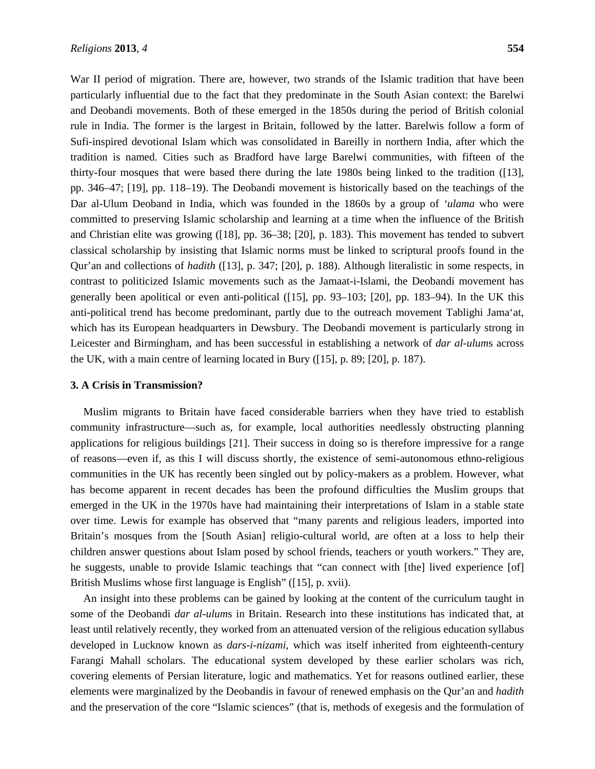War II period of migration. There are, however, two strands of the Islamic tradition that have been particularly influential due to the fact that they predominate in the South Asian context: the Barelwi and Deobandi movements. Both of these emerged in the 1850s during the period of British colonial rule in India. The former is the largest in Britain, followed by the latter. Barelwis follow a form of Sufi-inspired devotional Islam which was consolidated in Bareilly in northern India, after which the tradition is named. Cities such as Bradford have large Barelwi communities, with fifteen of the thirty-four mosques that were based there during the late 1980s being linked to the tradition ([13], pp. 346–47; [19], pp. 118–19). The Deobandi movement is historically based on the teachings of the Dar al-Ulum Deoband in India, which was founded in the 1860s by a group of *'ulama* who were committed to preserving Islamic scholarship and learning at a time when the influence of the British and Christian elite was growing ([18], pp. 36–38; [20], p. 183). This movement has tended to subvert classical scholarship by insisting that Islamic norms must be linked to scriptural proofs found in the Qur'an and collections of *hadith* ([13], p. 347; [20], p. 188). Although literalistic in some respects, in contrast to politicized Islamic movements such as the Jamaat-i-Islami, the Deobandi movement has generally been apolitical or even anti-political ([15], pp. 93–103; [20], pp. 183–94). In the UK this anti-political trend has become predominant, partly due to the outreach movement Tablighi Jama'at, which has its European headquarters in Dewsbury. The Deobandi movement is particularly strong in Leicester and Birmingham, and has been successful in establishing a network of *dar al-ulum*s across the UK, with a main centre of learning located in Bury ([15], p. 89; [20], p. 187).

## **3. A Crisis in Transmission?**

Muslim migrants to Britain have faced considerable barriers when they have tried to establish community infrastructure—such as, for example, local authorities needlessly obstructing planning applications for religious buildings [21]. Their success in doing so is therefore impressive for a range of reasons—even if, as this I will discuss shortly, the existence of semi-autonomous ethno-religious communities in the UK has recently been singled out by policy-makers as a problem. However, what has become apparent in recent decades has been the profound difficulties the Muslim groups that emerged in the UK in the 1970s have had maintaining their interpretations of Islam in a stable state over time. Lewis for example has observed that "many parents and religious leaders, imported into Britain's mosques from the [South Asian] religio-cultural world, are often at a loss to help their children answer questions about Islam posed by school friends, teachers or youth workers." They are, he suggests, unable to provide Islamic teachings that "can connect with [the] lived experience [of] British Muslims whose first language is English" ([15], p. xvii).

An insight into these problems can be gained by looking at the content of the curriculum taught in some of the Deobandi *dar al-ulum*s in Britain. Research into these institutions has indicated that, at least until relatively recently, they worked from an attenuated version of the religious education syllabus developed in Lucknow known as *dars-i-nizami*, which was itself inherited from eighteenth-century Farangi Mahall scholars. The educational system developed by these earlier scholars was rich, covering elements of Persian literature, logic and mathematics. Yet for reasons outlined earlier, these elements were marginalized by the Deobandis in favour of renewed emphasis on the Qur'an and *hadith* and the preservation of the core "Islamic sciences" (that is, methods of exegesis and the formulation of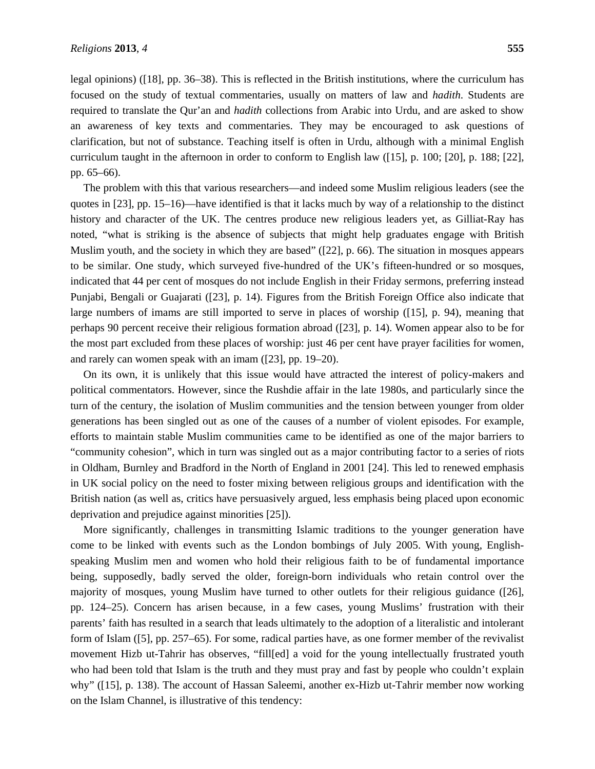legal opinions) ([18], pp. 36–38). This is reflected in the British institutions, where the curriculum has focused on the study of textual commentaries, usually on matters of law and *hadith*. Students are required to translate the Qur'an and *hadith* collections from Arabic into Urdu, and are asked to show an awareness of key texts and commentaries. They may be encouraged to ask questions of clarification, but not of substance. Teaching itself is often in Urdu, although with a minimal English curriculum taught in the afternoon in order to conform to English law ([15], p. 100; [20], p. 188; [22], pp. 65–66).

The problem with this that various researchers—and indeed some Muslim religious leaders (see the quotes in [23], pp. 15–16)—have identified is that it lacks much by way of a relationship to the distinct history and character of the UK. The centres produce new religious leaders yet, as Gilliat-Ray has noted, "what is striking is the absence of subjects that might help graduates engage with British Muslim youth, and the society in which they are based" ([22], p. 66). The situation in mosques appears to be similar. One study, which surveyed five-hundred of the UK's fifteen-hundred or so mosques, indicated that 44 per cent of mosques do not include English in their Friday sermons, preferring instead Punjabi, Bengali or Guajarati ([23], p. 14). Figures from the British Foreign Office also indicate that large numbers of imams are still imported to serve in places of worship ([15], p. 94), meaning that perhaps 90 percent receive their religious formation abroad ([23], p. 14). Women appear also to be for the most part excluded from these places of worship: just 46 per cent have prayer facilities for women, and rarely can women speak with an imam ([23], pp. 19–20).

On its own, it is unlikely that this issue would have attracted the interest of policy-makers and political commentators. However, since the Rushdie affair in the late 1980s, and particularly since the turn of the century, the isolation of Muslim communities and the tension between younger from older generations has been singled out as one of the causes of a number of violent episodes. For example, efforts to maintain stable Muslim communities came to be identified as one of the major barriers to "community cohesion", which in turn was singled out as a major contributing factor to a series of riots in Oldham, Burnley and Bradford in the North of England in 2001 [24]. This led to renewed emphasis in UK social policy on the need to foster mixing between religious groups and identification with the British nation (as well as, critics have persuasively argued, less emphasis being placed upon economic deprivation and prejudice against minorities [25]).

More significantly, challenges in transmitting Islamic traditions to the younger generation have come to be linked with events such as the London bombings of July 2005. With young, Englishspeaking Muslim men and women who hold their religious faith to be of fundamental importance being, supposedly, badly served the older, foreign-born individuals who retain control over the majority of mosques, young Muslim have turned to other outlets for their religious guidance ([26], pp. 124–25). Concern has arisen because, in a few cases, young Muslims' frustration with their parents' faith has resulted in a search that leads ultimately to the adoption of a literalistic and intolerant form of Islam ([5], pp. 257–65). For some, radical parties have, as one former member of the revivalist movement Hizb ut-Tahrir has observes, "fill[ed] a void for the young intellectually frustrated youth who had been told that Islam is the truth and they must pray and fast by people who couldn't explain why" ([15], p. 138). The account of Hassan Saleemi, another ex-Hizb ut-Tahrir member now working on the Islam Channel, is illustrative of this tendency: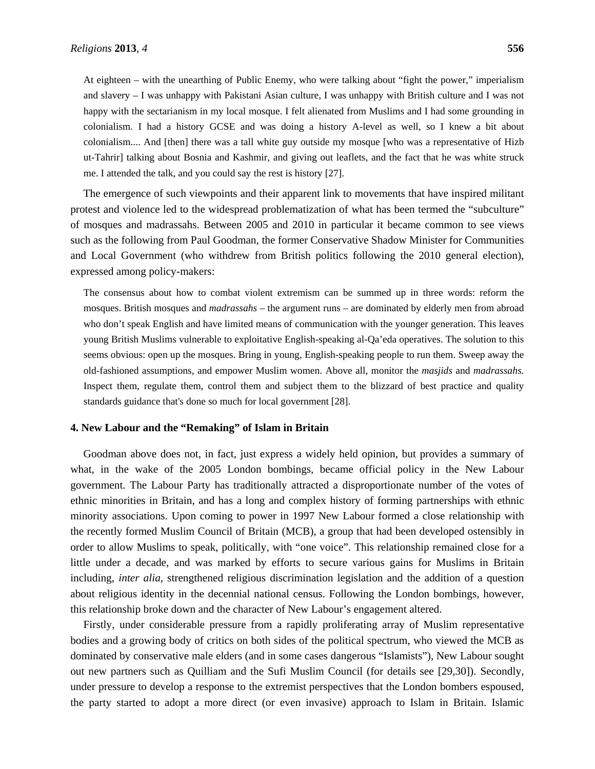At eighteen – with the unearthing of Public Enemy, who were talking about "fight the power," imperialism and slavery – I was unhappy with Pakistani Asian culture, I was unhappy with British culture and I was not happy with the sectarianism in my local mosque. I felt alienated from Muslims and I had some grounding in colonialism. I had a history GCSE and was doing a history A-level as well, so I knew a bit about colonialism.... And [then] there was a tall white guy outside my mosque [who was a representative of Hizb ut-Tahrir] talking about Bosnia and Kashmir, and giving out leaflets, and the fact that he was white struck me. I attended the talk, and you could say the rest is history [27].

The emergence of such viewpoints and their apparent link to movements that have inspired militant protest and violence led to the widespread problematization of what has been termed the "subculture" of mosques and madrassahs. Between 2005 and 2010 in particular it became common to see views such as the following from Paul Goodman, the former Conservative Shadow Minister for Communities and Local Government (who withdrew from British politics following the 2010 general election), expressed among policy-makers:

The consensus about how to combat violent extremism can be summed up in three words: reform the mosques. British mosques and *madrassahs* – the argument runs – are dominated by elderly men from abroad who don't speak English and have limited means of communication with the younger generation. This leaves young British Muslims vulnerable to exploitative English-speaking al-Qa'eda operatives. The solution to this seems obvious: open up the mosques. Bring in young, English-speaking people to run them. Sweep away the old-fashioned assumptions, and empower Muslim women. Above all, monitor the *masjids* and *madrassahs*. Inspect them, regulate them, control them and subject them to the blizzard of best practice and quality standards guidance that's done so much for local government [28].

#### **4. New Labour and the "Remaking" of Islam in Britain**

Goodman above does not, in fact, just express a widely held opinion, but provides a summary of what, in the wake of the 2005 London bombings, became official policy in the New Labour government. The Labour Party has traditionally attracted a disproportionate number of the votes of ethnic minorities in Britain, and has a long and complex history of forming partnerships with ethnic minority associations. Upon coming to power in 1997 New Labour formed a close relationship with the recently formed Muslim Council of Britain (MCB), a group that had been developed ostensibly in order to allow Muslims to speak, politically, with "one voice". This relationship remained close for a little under a decade, and was marked by efforts to secure various gains for Muslims in Britain including, *inter alia*, strengthened religious discrimination legislation and the addition of a question about religious identity in the decennial national census. Following the London bombings, however, this relationship broke down and the character of New Labour's engagement altered.

Firstly, under considerable pressure from a rapidly proliferating array of Muslim representative bodies and a growing body of critics on both sides of the political spectrum, who viewed the MCB as dominated by conservative male elders (and in some cases dangerous "Islamists"), New Labour sought out new partners such as Quilliam and the Sufi Muslim Council (for details see [29,30]). Secondly, under pressure to develop a response to the extremist perspectives that the London bombers espoused, the party started to adopt a more direct (or even invasive) approach to Islam in Britain. Islamic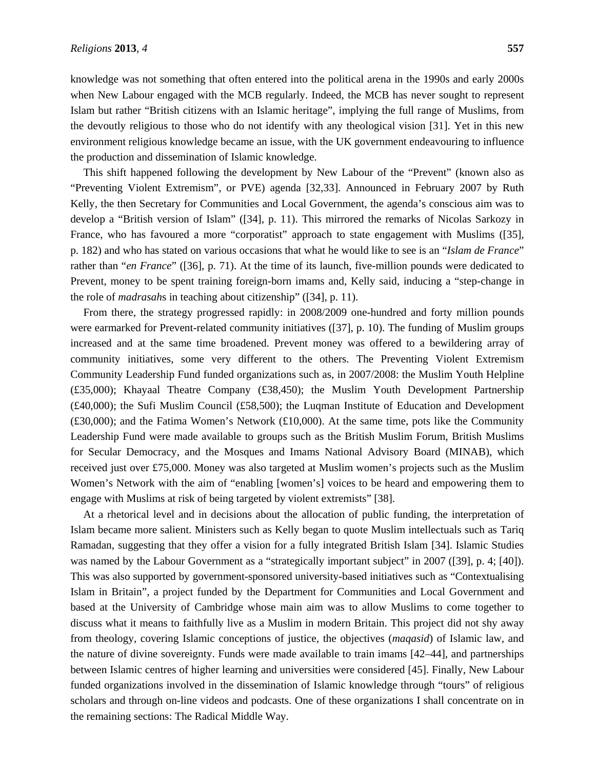knowledge was not something that often entered into the political arena in the 1990s and early 2000s when New Labour engaged with the MCB regularly. Indeed, the MCB has never sought to represent Islam but rather "British citizens with an Islamic heritage", implying the full range of Muslims, from the devoutly religious to those who do not identify with any theological vision [31]. Yet in this new environment religious knowledge became an issue, with the UK government endeavouring to influence the production and dissemination of Islamic knowledge.

This shift happened following the development by New Labour of the "Prevent" (known also as "Preventing Violent Extremism", or PVE) agenda [32,33]. Announced in February 2007 by Ruth Kelly, the then Secretary for Communities and Local Government, the agenda's conscious aim was to develop a "British version of Islam" ([34], p. 11). This mirrored the remarks of Nicolas Sarkozy in France, who has favoured a more "corporatist" approach to state engagement with Muslims ([35], p. 182) and who has stated on various occasions that what he would like to see is an "*Islam de France*" rather than "*en France*" ([36], p. 71). At the time of its launch, five-million pounds were dedicated to Prevent, money to be spent training foreign-born imams and, Kelly said, inducing a "step-change in the role of *madrasah*s in teaching about citizenship" ([34], p. 11).

From there, the strategy progressed rapidly: in 2008/2009 one-hundred and forty million pounds were earmarked for Prevent-related community initiatives ([37], p. 10). The funding of Muslim groups increased and at the same time broadened. Prevent money was offered to a bewildering array of community initiatives, some very different to the others. The Preventing Violent Extremism Community Leadership Fund funded organizations such as, in 2007/2008: the Muslim Youth Helpline (£35,000); Khayaal Theatre Company (£38,450); the Muslim Youth Development Partnership (£40,000); the Sufi Muslim Council (£58,500); the Luqman Institute of Education and Development (£30,000); and the Fatima Women's Network (£10,000). At the same time, pots like the Community Leadership Fund were made available to groups such as the British Muslim Forum, British Muslims for Secular Democracy, and the Mosques and Imams National Advisory Board (MINAB), which received just over £75,000. Money was also targeted at Muslim women's projects such as the Muslim Women's Network with the aim of "enabling [women's] voices to be heard and empowering them to engage with Muslims at risk of being targeted by violent extremists" [38].

At a rhetorical level and in decisions about the allocation of public funding, the interpretation of Islam became more salient. Ministers such as Kelly began to quote Muslim intellectuals such as Tariq Ramadan, suggesting that they offer a vision for a fully integrated British Islam [34]. Islamic Studies was named by the Labour Government as a "strategically important subject" in 2007 ([39], p. 4; [40]). This was also supported by government-sponsored university-based initiatives such as "Contextualising Islam in Britain", a project funded by the Department for Communities and Local Government and based at the University of Cambridge whose main aim was to allow Muslims to come together to discuss what it means to faithfully live as a Muslim in modern Britain. This project did not shy away from theology, covering Islamic conceptions of justice, the objectives (*maqasid*) of Islamic law, and the nature of divine sovereignty. Funds were made available to train imams [42–44], and partnerships between Islamic centres of higher learning and universities were considered [45]. Finally, New Labour funded organizations involved in the dissemination of Islamic knowledge through "tours" of religious scholars and through on-line videos and podcasts. One of these organizations I shall concentrate on in the remaining sections: The Radical Middle Way.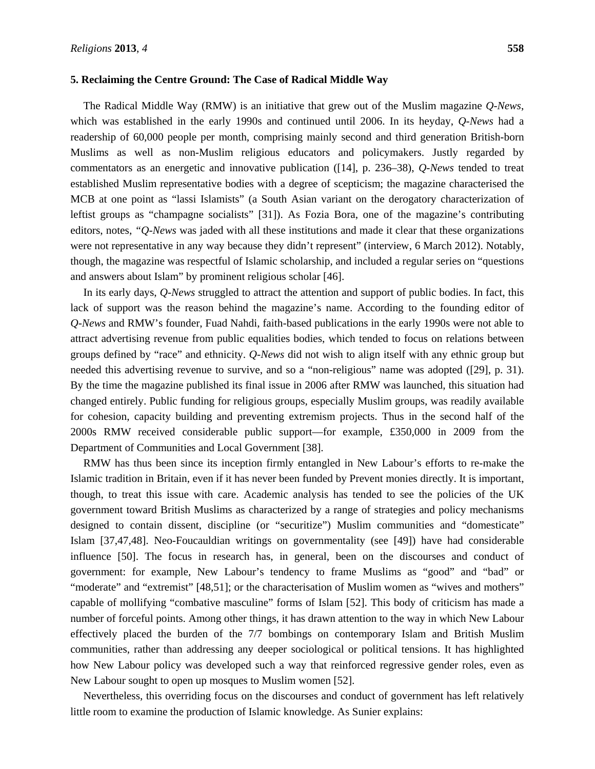#### **5. Reclaiming the Centre Ground: The Case of Radical Middle Way**

The Radical Middle Way (RMW) is an initiative that grew out of the Muslim magazine *Q-News*, which was established in the early 1990s and continued until 2006. In its heyday, *Q-News* had a readership of 60,000 people per month, comprising mainly second and third generation British-born Muslims as well as non-Muslim religious educators and policymakers. Justly regarded by commentators as an energetic and innovative publication ([14], p. 236–38), *Q-News* tended to treat established Muslim representative bodies with a degree of scepticism; the magazine characterised the MCB at one point as "lassi Islamists" (a South Asian variant on the derogatory characterization of leftist groups as "champagne socialists" [31]). As Fozia Bora, one of the magazine's contributing editors, notes, *"Q-News* was jaded with all these institutions and made it clear that these organizations were not representative in any way because they didn't represent" (interview, 6 March 2012). Notably, though, the magazine was respectful of Islamic scholarship, and included a regular series on "questions and answers about Islam" by prominent religious scholar [46].

In its early days, *Q-News* struggled to attract the attention and support of public bodies. In fact, this lack of support was the reason behind the magazine's name. According to the founding editor of *Q-News* and RMW's founder, Fuad Nahdi, faith-based publications in the early 1990s were not able to attract advertising revenue from public equalities bodies, which tended to focus on relations between groups defined by "race" and ethnicity. *Q-News* did not wish to align itself with any ethnic group but needed this advertising revenue to survive, and so a "non-religious" name was adopted ([29], p. 31). By the time the magazine published its final issue in 2006 after RMW was launched, this situation had changed entirely. Public funding for religious groups, especially Muslim groups, was readily available for cohesion, capacity building and preventing extremism projects. Thus in the second half of the 2000s RMW received considerable public support—for example, £350,000 in 2009 from the Department of Communities and Local Government [38].

RMW has thus been since its inception firmly entangled in New Labour's efforts to re-make the Islamic tradition in Britain, even if it has never been funded by Prevent monies directly. It is important, though, to treat this issue with care. Academic analysis has tended to see the policies of the UK government toward British Muslims as characterized by a range of strategies and policy mechanisms designed to contain dissent, discipline (or "securitize") Muslim communities and "domesticate" Islam [37,47,48]. Neo-Foucauldian writings on governmentality (see [49]) have had considerable influence [50]. The focus in research has, in general, been on the discourses and conduct of government: for example, New Labour's tendency to frame Muslims as "good" and "bad" or "moderate" and "extremist" [48,51]; or the characterisation of Muslim women as "wives and mothers" capable of mollifying "combative masculine" forms of Islam [52]. This body of criticism has made a number of forceful points. Among other things, it has drawn attention to the way in which New Labour effectively placed the burden of the 7/7 bombings on contemporary Islam and British Muslim communities, rather than addressing any deeper sociological or political tensions. It has highlighted how New Labour policy was developed such a way that reinforced regressive gender roles, even as New Labour sought to open up mosques to Muslim women [52].

Nevertheless, this overriding focus on the discourses and conduct of government has left relatively little room to examine the production of Islamic knowledge. As Sunier explains: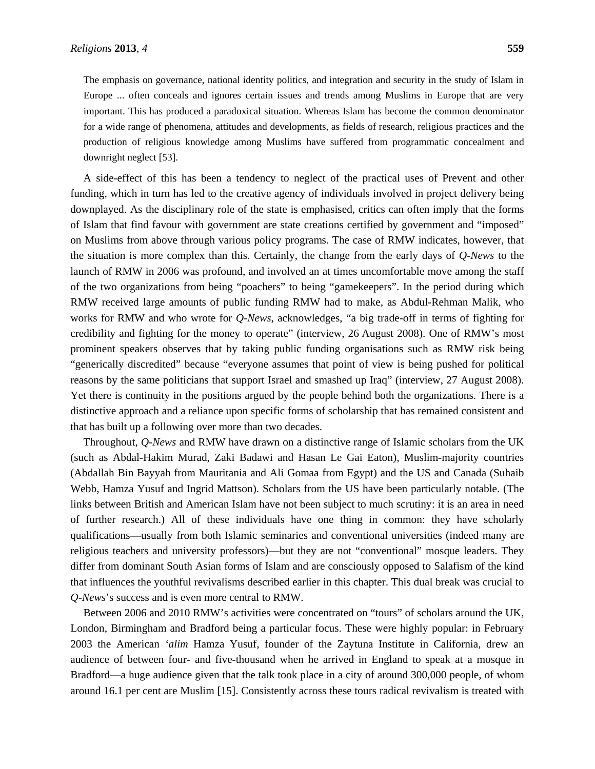The emphasis on governance, national identity politics, and integration and security in the study of Islam in Europe ... often conceals and ignores certain issues and trends among Muslims in Europe that are very important. This has produced a paradoxical situation. Whereas Islam has become the common denominator for a wide range of phenomena, attitudes and developments, as fields of research, religious practices and the production of religious knowledge among Muslims have suffered from programmatic concealment and downright neglect [53].

A side-effect of this has been a tendency to neglect of the practical uses of Prevent and other funding, which in turn has led to the creative agency of individuals involved in project delivery being downplayed. As the disciplinary role of the state is emphasised, critics can often imply that the forms of Islam that find favour with government are state creations certified by government and "imposed" on Muslims from above through various policy programs. The case of RMW indicates, however, that the situation is more complex than this. Certainly, the change from the early days of *Q-News* to the launch of RMW in 2006 was profound, and involved an at times uncomfortable move among the staff of the two organizations from being "poachers" to being "gamekeepers". In the period during which RMW received large amounts of public funding RMW had to make, as Abdul-Rehman Malik, who works for RMW and who wrote for *Q-News*, acknowledges, "a big trade-off in terms of fighting for credibility and fighting for the money to operate" (interview, 26 August 2008). One of RMW's most prominent speakers observes that by taking public funding organisations such as RMW risk being "generically discredited" because "everyone assumes that point of view is being pushed for political reasons by the same politicians that support Israel and smashed up Iraq" (interview, 27 August 2008). Yet there is continuity in the positions argued by the people behind both the organizations. There is a distinctive approach and a reliance upon specific forms of scholarship that has remained consistent and that has built up a following over more than two decades.

Throughout, *Q-News* and RMW have drawn on a distinctive range of Islamic scholars from the UK (such as Abdal-Hakim Murad, Zaki Badawi and Hasan Le Gai Eaton), Muslim-majority countries (Abdallah Bin Bayyah from Mauritania and Ali Gomaa from Egypt) and the US and Canada (Suhaib Webb, Hamza Yusuf and Ingrid Mattson). Scholars from the US have been particularly notable. (The links between British and American Islam have not been subject to much scrutiny: it is an area in need of further research.) All of these individuals have one thing in common: they have scholarly qualifications—usually from both Islamic seminaries and conventional universities (indeed many are religious teachers and university professors)—but they are not "conventional" mosque leaders. They differ from dominant South Asian forms of Islam and are consciously opposed to Salafism of the kind that influences the youthful revivalisms described earlier in this chapter. This dual break was crucial to *Q-News*'s success and is even more central to RMW.

Between 2006 and 2010 RMW's activities were concentrated on "tours" of scholars around the UK, London, Birmingham and Bradford being a particular focus. These were highly popular: in February 2003 the American *'alim* Hamza Yusuf, founder of the Zaytuna Institute in California, drew an audience of between four- and five-thousand when he arrived in England to speak at a mosque in Bradford—a huge audience given that the talk took place in a city of around 300,000 people, of whom around 16.1 per cent are Muslim [15]. Consistently across these tours radical revivalism is treated with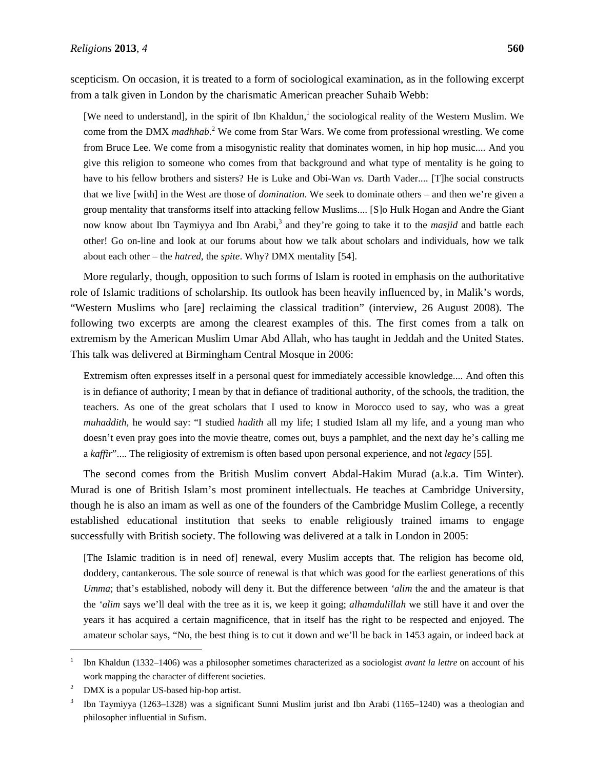scepticism. On occasion, it is treated to a form of sociological examination, as in the following excerpt from a talk given in London by the charismatic American preacher Suhaib Webb:

[We need to understand], in the spirit of Ibn Khaldun,<sup>1</sup> the sociological reality of the Western Muslim. We come from the DMX *madhhab*.<sup>2</sup> We come from Star Wars. We come from professional wrestling. We come from Bruce Lee. We come from a misogynistic reality that dominates women, in hip hop music.... And you give this religion to someone who comes from that background and what type of mentality is he going to have to his fellow brothers and sisters? He is Luke and Obi-Wan *vs.* Darth Vader.... [T]he social constructs that we live [with] in the West are those of *domination*. We seek to dominate others – and then we're given a group mentality that transforms itself into attacking fellow Muslims.... [S]o Hulk Hogan and Andre the Giant now know about Ibn Taymiyya and Ibn Arabi,<sup>3</sup> and they're going to take it to the *masjid* and battle each other! Go on-line and look at our forums about how we talk about scholars and individuals, how we talk about each other – the *hatred*, the *spite*. Why? DMX mentality [54].

More regularly, though, opposition to such forms of Islam is rooted in emphasis on the authoritative role of Islamic traditions of scholarship. Its outlook has been heavily influenced by, in Malik's words, "Western Muslims who [are] reclaiming the classical tradition" (interview, 26 August 2008). The following two excerpts are among the clearest examples of this. The first comes from a talk on extremism by the American Muslim Umar Abd Allah, who has taught in Jeddah and the United States. This talk was delivered at Birmingham Central Mosque in 2006:

Extremism often expresses itself in a personal quest for immediately accessible knowledge.... And often this is in defiance of authority; I mean by that in defiance of traditional authority, of the schools, the tradition, the teachers. As one of the great scholars that I used to know in Morocco used to say, who was a great *muhaddith*, he would say: "I studied *hadith* all my life; I studied Islam all my life, and a young man who doesn't even pray goes into the movie theatre, comes out, buys a pamphlet, and the next day he's calling me a *kaffir*".... The religiosity of extremism is often based upon personal experience, and not *legacy* [55].

The second comes from the British Muslim convert Abdal-Hakim Murad (a.k.a. Tim Winter). Murad is one of British Islam's most prominent intellectuals. He teaches at Cambridge University, though he is also an imam as well as one of the founders of the Cambridge Muslim College, a recently established educational institution that seeks to enable religiously trained imams to engage successfully with British society. The following was delivered at a talk in London in 2005:

[The Islamic tradition is in need of] renewal, every Muslim accepts that. The religion has become old, doddery, cantankerous. The sole source of renewal is that which was good for the earliest generations of this *Umma*; that's established, nobody will deny it. But the difference between *'alim* the and the amateur is that the *'alim* says we'll deal with the tree as it is, we keep it going; *alhamdulillah* we still have it and over the years it has acquired a certain magnificence, that in itself has the right to be respected and enjoyed. The amateur scholar says, "No, the best thing is to cut it down and we'll be back in 1453 again, or indeed back at

<sup>1</sup> Ibn Khaldun (1332–1406) was a philosopher sometimes characterized as a sociologist *avant la lettre* on account of his work mapping the character of different societies.

<sup>2</sup> DMX is a popular US-based hip-hop artist.

<sup>3</sup> Ibn Taymiyya (1263–1328) was a significant Sunni Muslim jurist and Ibn Arabi (1165–1240) was a theologian and philosopher influential in Sufism.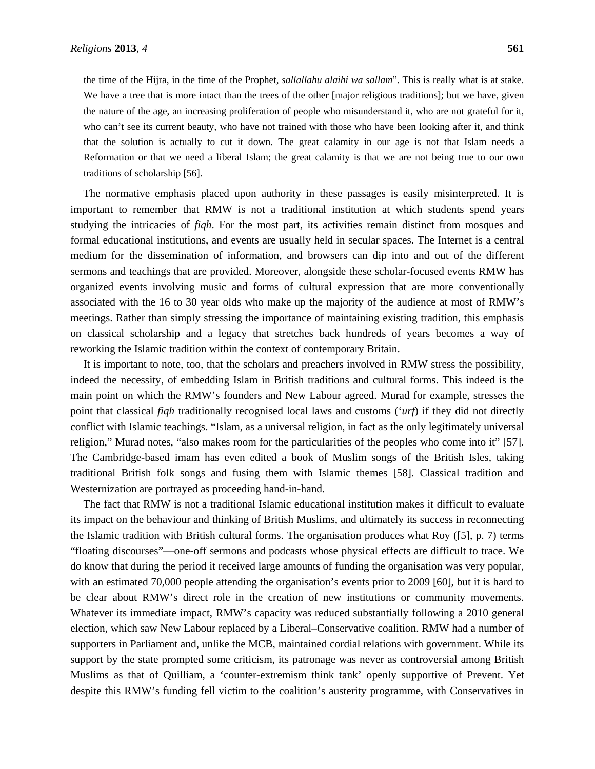the time of the Hijra, in the time of the Prophet, *sallallahu alaihi wa sallam*". This is really what is at stake. We have a tree that is more intact than the trees of the other [major religious traditions]; but we have, given the nature of the age, an increasing proliferation of people who misunderstand it, who are not grateful for it, who can't see its current beauty, who have not trained with those who have been looking after it, and think that the solution is actually to cut it down. The great calamity in our age is not that Islam needs a Reformation or that we need a liberal Islam; the great calamity is that we are not being true to our own traditions of scholarship [56].

The normative emphasis placed upon authority in these passages is easily misinterpreted. It is important to remember that RMW is not a traditional institution at which students spend years studying the intricacies of *fiqh*. For the most part, its activities remain distinct from mosques and formal educational institutions, and events are usually held in secular spaces. The Internet is a central medium for the dissemination of information, and browsers can dip into and out of the different sermons and teachings that are provided. Moreover, alongside these scholar-focused events RMW has organized events involving music and forms of cultural expression that are more conventionally associated with the 16 to 30 year olds who make up the majority of the audience at most of RMW's meetings. Rather than simply stressing the importance of maintaining existing tradition, this emphasis on classical scholarship and a legacy that stretches back hundreds of years becomes a way of reworking the Islamic tradition within the context of contemporary Britain.

It is important to note, too, that the scholars and preachers involved in RMW stress the possibility, indeed the necessity, of embedding Islam in British traditions and cultural forms. This indeed is the main point on which the RMW's founders and New Labour agreed. Murad for example, stresses the point that classical *fiqh* traditionally recognised local laws and customs ('*urf*) if they did not directly conflict with Islamic teachings. "Islam, as a universal religion, in fact as the only legitimately universal religion," Murad notes, "also makes room for the particularities of the peoples who come into it" [57]. The Cambridge-based imam has even edited a book of Muslim songs of the British Isles, taking traditional British folk songs and fusing them with Islamic themes [58]. Classical tradition and Westernization are portrayed as proceeding hand-in-hand.

The fact that RMW is not a traditional Islamic educational institution makes it difficult to evaluate its impact on the behaviour and thinking of British Muslims, and ultimately its success in reconnecting the Islamic tradition with British cultural forms. The organisation produces what Roy ([5], p. 7) terms "floating discourses"—one-off sermons and podcasts whose physical effects are difficult to trace. We do know that during the period it received large amounts of funding the organisation was very popular, with an estimated 70,000 people attending the organisation's events prior to 2009 [60], but it is hard to be clear about RMW's direct role in the creation of new institutions or community movements. Whatever its immediate impact, RMW's capacity was reduced substantially following a 2010 general election, which saw New Labour replaced by a Liberal–Conservative coalition. RMW had a number of supporters in Parliament and, unlike the MCB, maintained cordial relations with government. While its support by the state prompted some criticism, its patronage was never as controversial among British Muslims as that of Quilliam, a 'counter-extremism think tank' openly supportive of Prevent. Yet despite this RMW's funding fell victim to the coalition's austerity programme, with Conservatives in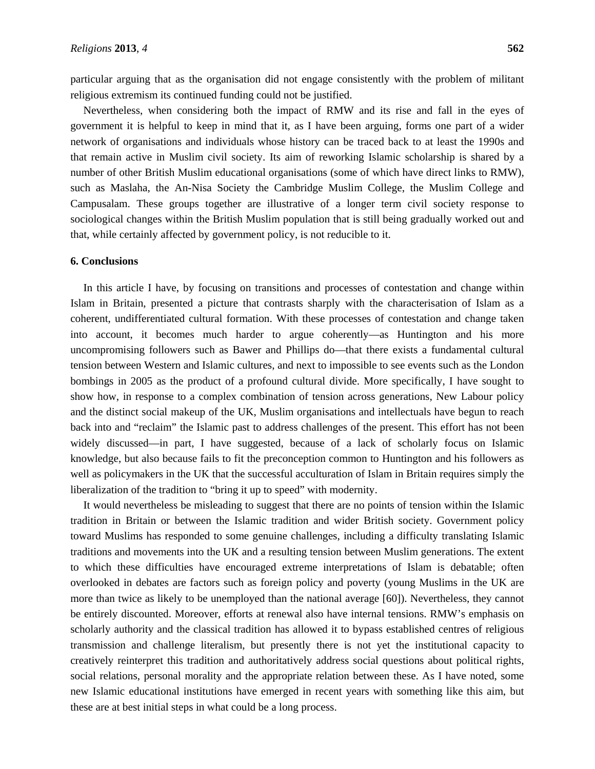particular arguing that as the organisation did not engage consistently with the problem of militant religious extremism its continued funding could not be justified.

Nevertheless, when considering both the impact of RMW and its rise and fall in the eyes of government it is helpful to keep in mind that it, as I have been arguing, forms one part of a wider network of organisations and individuals whose history can be traced back to at least the 1990s and that remain active in Muslim civil society. Its aim of reworking Islamic scholarship is shared by a number of other British Muslim educational organisations (some of which have direct links to RMW), such as Maslaha, the An-Nisa Society the Cambridge Muslim College, the Muslim College and Campusalam. These groups together are illustrative of a longer term civil society response to sociological changes within the British Muslim population that is still being gradually worked out and that, while certainly affected by government policy, is not reducible to it.

#### **6. Conclusions**

In this article I have, by focusing on transitions and processes of contestation and change within Islam in Britain, presented a picture that contrasts sharply with the characterisation of Islam as a coherent, undifferentiated cultural formation. With these processes of contestation and change taken into account, it becomes much harder to argue coherently—as Huntington and his more uncompromising followers such as Bawer and Phillips do—that there exists a fundamental cultural tension between Western and Islamic cultures, and next to impossible to see events such as the London bombings in 2005 as the product of a profound cultural divide. More specifically, I have sought to show how, in response to a complex combination of tension across generations, New Labour policy and the distinct social makeup of the UK, Muslim organisations and intellectuals have begun to reach back into and "reclaim" the Islamic past to address challenges of the present. This effort has not been widely discussed—in part, I have suggested, because of a lack of scholarly focus on Islamic knowledge, but also because fails to fit the preconception common to Huntington and his followers as well as policymakers in the UK that the successful acculturation of Islam in Britain requires simply the liberalization of the tradition to "bring it up to speed" with modernity.

It would nevertheless be misleading to suggest that there are no points of tension within the Islamic tradition in Britain or between the Islamic tradition and wider British society. Government policy toward Muslims has responded to some genuine challenges, including a difficulty translating Islamic traditions and movements into the UK and a resulting tension between Muslim generations. The extent to which these difficulties have encouraged extreme interpretations of Islam is debatable; often overlooked in debates are factors such as foreign policy and poverty (young Muslims in the UK are more than twice as likely to be unemployed than the national average [60]). Nevertheless, they cannot be entirely discounted. Moreover, efforts at renewal also have internal tensions. RMW's emphasis on scholarly authority and the classical tradition has allowed it to bypass established centres of religious transmission and challenge literalism, but presently there is not yet the institutional capacity to creatively reinterpret this tradition and authoritatively address social questions about political rights, social relations, personal morality and the appropriate relation between these. As I have noted, some new Islamic educational institutions have emerged in recent years with something like this aim, but these are at best initial steps in what could be a long process.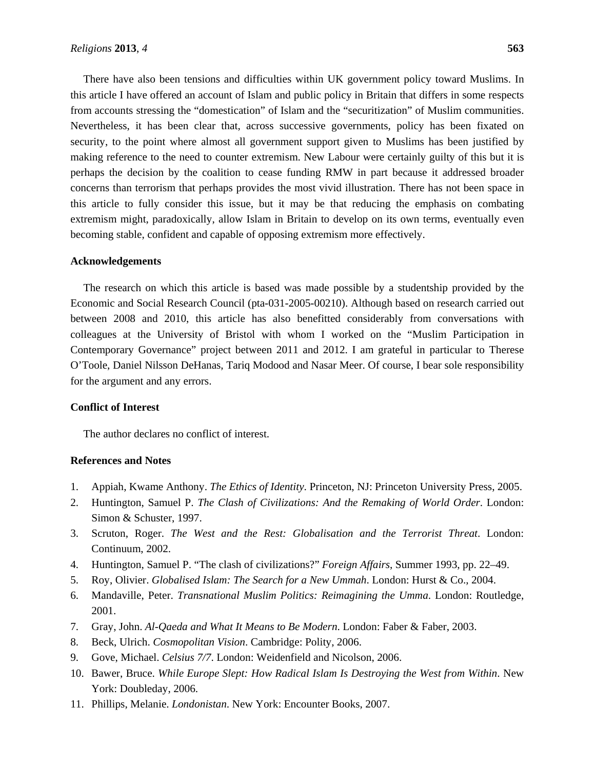There have also been tensions and difficulties within UK government policy toward Muslims. In this article I have offered an account of Islam and public policy in Britain that differs in some respects from accounts stressing the "domestication" of Islam and the "securitization" of Muslim communities. Nevertheless, it has been clear that, across successive governments, policy has been fixated on security, to the point where almost all government support given to Muslims has been justified by making reference to the need to counter extremism. New Labour were certainly guilty of this but it is perhaps the decision by the coalition to cease funding RMW in part because it addressed broader concerns than terrorism that perhaps provides the most vivid illustration. There has not been space in this article to fully consider this issue, but it may be that reducing the emphasis on combating extremism might, paradoxically, allow Islam in Britain to develop on its own terms, eventually even becoming stable, confident and capable of opposing extremism more effectively.

#### **Acknowledgements**

The research on which this article is based was made possible by a studentship provided by the Economic and Social Research Council (pta-031-2005-00210). Although based on research carried out between 2008 and 2010, this article has also benefitted considerably from conversations with colleagues at the University of Bristol with whom I worked on the "Muslim Participation in Contemporary Governance" project between 2011 and 2012. I am grateful in particular to Therese O'Toole, Daniel Nilsson DeHanas, Tariq Modood and Nasar Meer. Of course, I bear sole responsibility for the argument and any errors.

#### **Conflict of Interest**

The author declares no conflict of interest.

## **References and Notes**

- 1. Appiah, Kwame Anthony. *The Ethics of Identity*. Princeton, NJ: Princeton University Press, 2005.
- 2. Huntington, Samuel P. *The Clash of Civilizations: And the Remaking of World Order*. London: Simon & Schuster, 1997.
- 3. Scruton, Roger. *The West and the Rest: Globalisation and the Terrorist Threat*. London: Continuum, 2002.
- 4. Huntington, Samuel P. "The clash of civilizations?" *Foreign Affairs*, Summer 1993, pp. 22–49.
- 5. Roy, Olivier. *Globalised Islam: The Search for a New Ummah*. London: Hurst & Co., 2004.
- 6. Mandaville, Peter. *Transnational Muslim Politics: Reimagining the Umma*. London: Routledge, 2001.
- 7. Gray, John. *Al-Qaeda and What It Means to Be Modern*. London: Faber & Faber, 2003.
- 8. Beck, Ulrich. *Cosmopolitan Vision*. Cambridge: Polity, 2006.
- 9. Gove, Michael. *Celsius 7/7*. London: Weidenfield and Nicolson, 2006.
- 10. Bawer, Bruce. *While Europe Slept: How Radical Islam Is Destroying the West from Within*. New York: Doubleday, 2006.
- 11. Phillips, Melanie. *Londonistan*. New York: Encounter Books, 2007.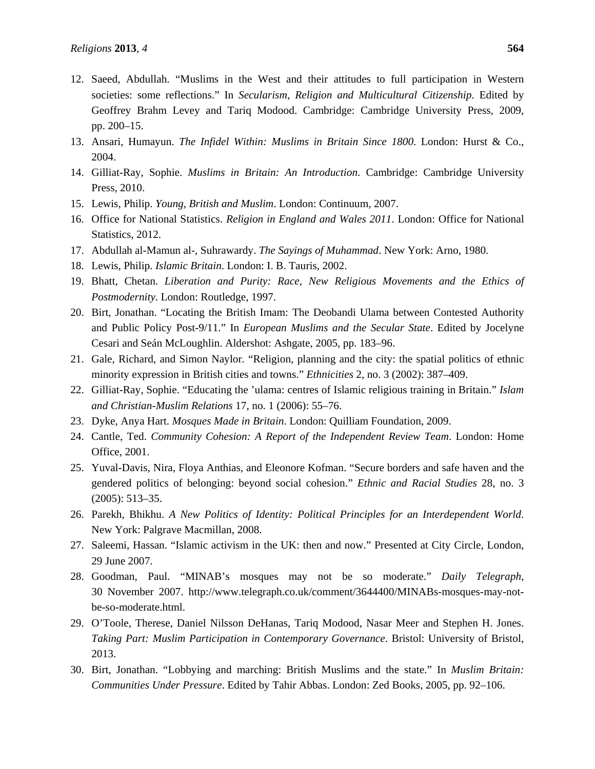- 12. Saeed, Abdullah. "Muslims in the West and their attitudes to full participation in Western societies: some reflections." In *Secularism, Religion and Multicultural Citizenship*. Edited by Geoffrey Brahm Levey and Tariq Modood. Cambridge: Cambridge University Press, 2009, pp. 200–15.
- 13. Ansari, Humayun. *The Infidel Within: Muslims in Britain Since 1800*. London: Hurst & Co., 2004.
- 14. Gilliat-Ray, Sophie. *Muslims in Britain: An Introduction*. Cambridge: Cambridge University Press, 2010.
- 15. Lewis, Philip. *Young, British and Muslim*. London: Continuum, 2007.
- 16. Office for National Statistics. *Religion in England and Wales 2011*. London: Office for National Statistics, 2012.
- 17. Abdullah al-Mamun al-, Suhrawardy. *The Sayings of Muhammad*. New York: Arno, 1980.
- 18. Lewis, Philip. *Islamic Britain*. London: I. B. Tauris, 2002.
- 19. Bhatt, Chetan. *Liberation and Purity: Race, New Religious Movements and the Ethics of Postmodernity*. London: Routledge, 1997.
- 20. Birt, Jonathan. "Locating the British Imam: The Deobandi Ulama between Contested Authority and Public Policy Post-9/11." In *European Muslims and the Secular State*. Edited by Jocelyne Cesari and Seán McLoughlin. Aldershot: Ashgate, 2005, pp. 183–96.
- 21. Gale, Richard, and Simon Naylor. "Religion, planning and the city: the spatial politics of ethnic minority expression in British cities and towns." *Ethnicities* 2, no. 3 (2002): 387–409.
- 22. Gilliat-Ray, Sophie. "Educating the 'ulama: centres of Islamic religious training in Britain." *Islam and Christian-Muslim Relations* 17, no. 1 (2006): 55–76.
- 23. Dyke, Anya Hart. *Mosques Made in Britain*. London: Quilliam Foundation, 2009.
- 24. Cantle, Ted. *Community Cohesion: A Report of the Independent Review Team*. London: Home Office, 2001.
- 25. Yuval-Davis, Nira, Floya Anthias, and Eleonore Kofman. "Secure borders and safe haven and the gendered politics of belonging: beyond social cohesion." *Ethnic and Racial Studies* 28, no. 3 (2005): 513–35.
- 26. Parekh, Bhikhu. *A New Politics of Identity: Political Principles for an Interdependent World*. New York: Palgrave Macmillan, 2008.
- 27. Saleemi, Hassan. "Islamic activism in the UK: then and now." Presented at City Circle, London, 29 June 2007.
- 28. Goodman, Paul. "MINAB's mosques may not be so moderate." *Daily Telegraph*, 30 November 2007. http://www.telegraph.co.uk/comment/3644400/MINABs-mosques-may-notbe-so-moderate.html.
- 29. O'Toole, Therese, Daniel Nilsson DeHanas, Tariq Modood, Nasar Meer and Stephen H. Jones. *Taking Part: Muslim Participation in Contemporary Governance*. Bristol: University of Bristol, 2013.
- 30. Birt, Jonathan. "Lobbying and marching: British Muslims and the state." In *Muslim Britain: Communities Under Pressure*. Edited by Tahir Abbas. London: Zed Books, 2005, pp. 92–106.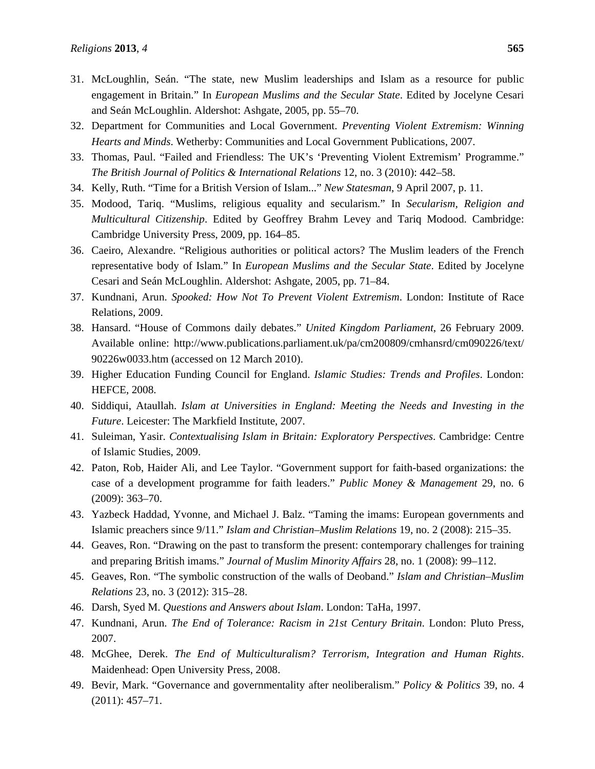- 31. McLoughlin, Seán. "The state, new Muslim leaderships and Islam as a resource for public engagement in Britain." In *European Muslims and the Secular State*. Edited by Jocelyne Cesari and Seán McLoughlin. Aldershot: Ashgate, 2005, pp. 55–70.
- 32. Department for Communities and Local Government. *Preventing Violent Extremism: Winning Hearts and Minds*. Wetherby: Communities and Local Government Publications, 2007.
- 33. Thomas, Paul. "Failed and Friendless: The UK's 'Preventing Violent Extremism' Programme." *The British Journal of Politics & International Relations* 12, no. 3 (2010): 442–58.
- 34. Kelly, Ruth. "Time for a British Version of Islam..." *New Statesman*, 9 April 2007, p. 11.
- 35. Modood, Tariq. "Muslims, religious equality and secularism." In *Secularism, Religion and Multicultural Citizenship*. Edited by Geoffrey Brahm Levey and Tariq Modood. Cambridge: Cambridge University Press, 2009, pp. 164–85.
- 36. Caeiro, Alexandre. "Religious authorities or political actors? The Muslim leaders of the French representative body of Islam." In *European Muslims and the Secular State*. Edited by Jocelyne Cesari and Seán McLoughlin. Aldershot: Ashgate, 2005, pp. 71–84.
- 37. Kundnani, Arun. *Spooked: How Not To Prevent Violent Extremism*. London: Institute of Race Relations, 2009.
- 38. Hansard. "House of Commons daily debates." *United Kingdom Parliament*, 26 February 2009. Available online: http://www.publications.parliament.uk/pa/cm200809/cmhansrd/cm090226/text/ 90226w0033.htm (accessed on 12 March 2010).
- 39. Higher Education Funding Council for England. *Islamic Studies: Trends and Profiles*. London: HEFCE, 2008.
- 40. Siddiqui, Ataullah. *Islam at Universities in England: Meeting the Needs and Investing in the Future*. Leicester: The Markfield Institute, 2007.
- 41. Suleiman, Yasir. *Contextualising Islam in Britain: Exploratory Perspectives*. Cambridge: Centre of Islamic Studies, 2009.
- 42. Paton, Rob, Haider Ali, and Lee Taylor. "Government support for faith-based organizations: the case of a development programme for faith leaders." *Public Money & Management* 29, no. 6 (2009): 363–70.
- 43. Yazbeck Haddad, Yvonne, and Michael J. Balz. "Taming the imams: European governments and Islamic preachers since 9/11." *Islam and Christian–Muslim Relations* 19, no. 2 (2008): 215–35.
- 44. Geaves, Ron. "Drawing on the past to transform the present: contemporary challenges for training and preparing British imams." *Journal of Muslim Minority Affairs* 28, no. 1 (2008): 99–112.
- 45. Geaves, Ron. "The symbolic construction of the walls of Deoband." *Islam and Christian–Muslim Relations* 23, no. 3 (2012): 315–28.
- 46. Darsh, Syed M. *Questions and Answers about Islam*. London: TaHa, 1997.
- 47. Kundnani, Arun. *The End of Tolerance: Racism in 21st Century Britain*. London: Pluto Press, 2007.
- 48. McGhee, Derek. *The End of Multiculturalism? Terrorism, Integration and Human Rights*. Maidenhead: Open University Press, 2008.
- 49. Bevir, Mark. "Governance and governmentality after neoliberalism." *Policy & Politics* 39, no. 4 (2011): 457–71.